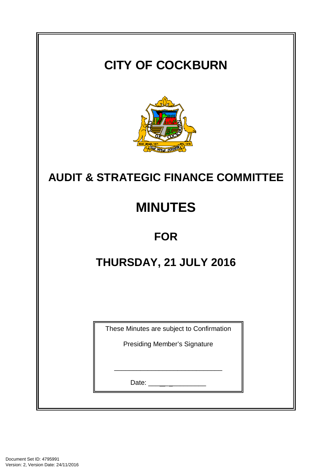# **CITY OF COCKBURN**



# **AUDIT & STRATEGIC FINANCE COMMITTEE**

# **MINUTES**

## **FOR**

## THURSDAY, 21 JULY 2016

| These Minutes are subject to Confirmation |  |  |  |  |
|-------------------------------------------|--|--|--|--|
| Presiding Member's Signature              |  |  |  |  |
|                                           |  |  |  |  |
| 17/11/2016<br>Date:                       |  |  |  |  |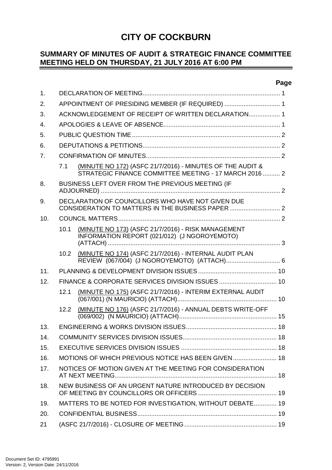| <b>CITY OF COCKBURN</b><br><b>VIAS TUTAS CUPIM</b>                                                                |  |  |  |  |
|-------------------------------------------------------------------------------------------------------------------|--|--|--|--|
| <b>AUDIT &amp; STRATEGIC FINANCE COMMITTEE</b>                                                                    |  |  |  |  |
| <b>MINUTES</b>                                                                                                    |  |  |  |  |
| <b>FOR</b>                                                                                                        |  |  |  |  |
| THURSDAY, 21 JULY 2016                                                                                            |  |  |  |  |
|                                                                                                                   |  |  |  |  |
| These Minutes are subject to Confirmation                                                                         |  |  |  |  |
| <b>Presiding Member's Signature</b><br>the control of the control of the control of the control of the control of |  |  |  |  |
| Date: __________________                                                                                          |  |  |  |  |
|                                                                                                                   |  |  |  |  |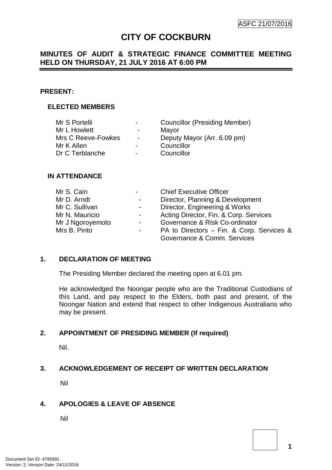## **CITY OF COCKBURN**

#### **SUMMARY OF MINUTES OF AUDIT & STRATEGIC FINANCE COMMITTEE MEETING HELD ON THURSDAY, 21 JULY 2016 AT 6:00 PM**  $\equiv$

## **Page**

| $\mathbf{1}$ . |                                                     |                                                                                                                    |  |  |
|----------------|-----------------------------------------------------|--------------------------------------------------------------------------------------------------------------------|--|--|
| 2.             | APPOINTMENT OF PRESIDING MEMBER (IF REQUIRED)  1    |                                                                                                                    |  |  |
| 3.             | ACKNOWLEDGEMENT OF RECEIPT OF WRITTEN DECLARATION 1 |                                                                                                                    |  |  |
| 4.             |                                                     |                                                                                                                    |  |  |
| 5.             |                                                     |                                                                                                                    |  |  |
| 6.             |                                                     |                                                                                                                    |  |  |
| 7 <sub>1</sub> |                                                     |                                                                                                                    |  |  |
|                | 7.1                                                 | (MINUTE NO 172) (ASFC 21/7/2016) - MINUTES OF THE AUDIT &<br>STRATEGIC FINANCE COMMITTEE MEETING - 17 MARCH 2016 2 |  |  |
| 8.             |                                                     | BUSINESS LEFT OVER FROM THE PREVIOUS MEETING (IF                                                                   |  |  |
| 9.             |                                                     | DECLARATION OF COUNCILLORS WHO HAVE NOT GIVEN DUE                                                                  |  |  |
| 10.            |                                                     |                                                                                                                    |  |  |
|                | 10.1                                                | (MINUTE NO 173) (ASFC 21/7/2016) - RISK MANAGEMENT<br>INFORMATION REPORT (021/012) (J NGOROYEMOTO)                 |  |  |
|                | 10.2 <sub>1</sub>                                   | (MINUTE NO 174) (ASFC 21/7/2016) - INTERNAL AUDIT PLAN                                                             |  |  |
| 11.            |                                                     |                                                                                                                    |  |  |
| 12.            |                                                     |                                                                                                                    |  |  |
|                | 12.1                                                | (MINUTE NO 175) (ASFC 21/7/2016) - INTERIM EXTERNAL AUDIT                                                          |  |  |
|                | 12.2                                                | (MINUTE NO 176) (ASFC 21/7/2016) - ANNUAL DEBTS WRITE-OFF                                                          |  |  |
| 13.            |                                                     |                                                                                                                    |  |  |
| 14.            |                                                     |                                                                                                                    |  |  |
| 15.            |                                                     |                                                                                                                    |  |  |
| 16.            |                                                     | MOTIONS OF WHICH PREVIOUS NOTICE HAS BEEN GIVEN  18                                                                |  |  |
| 17.            |                                                     | NOTICES OF MOTION GIVEN AT THE MEETING FOR CONSIDERATION                                                           |  |  |
| 18.            |                                                     | NEW BUSINESS OF AN URGENT NATURE INTRODUCED BY DECISION                                                            |  |  |
| 19.            |                                                     | MATTERS TO BE NOTED FOR INVESTIGATION, WITHOUT DEBATE 19                                                           |  |  |
| 20.            |                                                     |                                                                                                                    |  |  |
| 21             |                                                     |                                                                                                                    |  |  |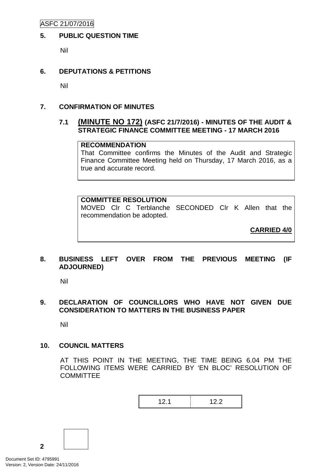## **CITY OF COCKBURN**

## **MINUTES OF AUDIT & STRATEGIC FINANCE COMMITTEE MEETING HELD ON THURSDAY, 21 JULY 2016 AT 6:00 PM**

#### **PRESENT:**

#### **ELECTED MEMBERS**

| $\sim$                   | <b>Councillor (Presiding Member)</b> |
|--------------------------|--------------------------------------|
| $\blacksquare$           | Mayor                                |
| $\sim$                   | Deputy Mayor (Arr. 6.09 pm)          |
| $\overline{\phantom{0}}$ | Councillor                           |
| $\overline{\phantom{0}}$ | Councillor                           |
|                          |                                      |

#### **IN ATTENDANCE**

| Mr S. Cain       |                | <b>Chief Executive Officer</b>            |
|------------------|----------------|-------------------------------------------|
| Mr D. Arndt      | $\sim 100$     | Director, Planning & Development          |
| Mr C. Sullivan   | $\sim 100$     | Director, Engineering & Works             |
| Mr N. Mauricio   | $\sim 100$     | Acting Director, Fin. & Corp. Services    |
| Mr J Ngoroyemoto | $\sim 100$     | Governance & Risk Co-ordinator            |
| Mrs B. Pinto     | $\blacksquare$ | PA to Directors – Fin. & Corp. Services & |
|                  |                | Governance & Comm. Services               |

#### **1. DECLARATION OF MEETING**

The Presiding Member declared the meeting open at 6.01 pm.

He acknowledged the Noongar people who are the Traditional Custodians of this Land, and pay respect to the Elders, both past and present, of the Noongar Nation and extend that respect to other Indigenous Australians who may be present.

#### **2. APPOINTMENT OF PRESIDING MEMBER (If required)**

Nil.

#### **3. ACKNOWLEDGEMENT OF RECEIPT OF WRITTEN DECLARATION**

Nil

#### **4. APOLOGIES & LEAVE OF ABSENCE**

Nil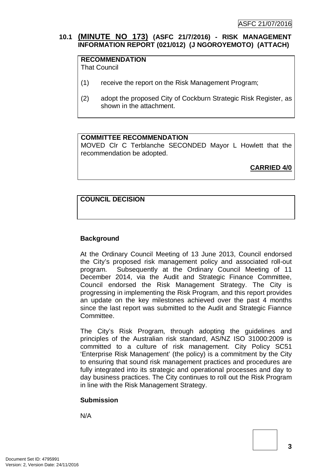ASFC 21/07/2016

## **5. PUBLIC QUESTION TIME**

Nil

## **6. DEPUTATIONS & PETITIONS**

Nil

## **7. CONFIRMATION OF MINUTES**

## **7.1 (MINUTE NO 172) (ASFC 21/7/2016) - MINUTES OF THE AUDIT & STRATEGIC FINANCE COMMITTEE MEETING - 17 MARCH 2016**

## **RECOMMENDATION**

That Committee confirms the Minutes of the Audit and Strategic Finance Committee Meeting held on Thursday, 17 March 2016, as a true and accurate record.

#### **COMMITTEE RESOLUTION**

MOVED Clr C Terblanche SECONDED Clr K Allen that the recommendation be adopted.

**CARRIED 4/0**

## **8. BUSINESS LEFT OVER FROM THE PREVIOUS MEETING (IF ADJOURNED)**

Nil

## **9. DECLARATION OF COUNCILLORS WHO HAVE NOT GIVEN DUE CONSIDERATION TO MATTERS IN THE BUSINESS PAPER**

Nil

## **10. COUNCIL MATTERS**

AT THIS POINT IN THE MEETING, THE TIME BEING 6.04 PM THE FOLLOWING ITEMS WERE CARRIED BY 'EN BLOC' RESOLUTION OF **COMMITTEE** 



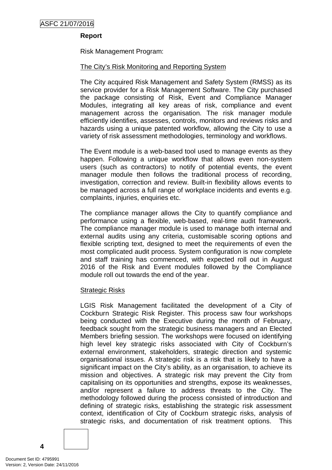## **10.1 (MINUTE NO 173) (ASFC 21/7/2016) - RISK MANAGEMENT INFORMATION REPORT (021/012) (J NGOROYEMOTO) (ATTACH)**

## **RECOMMENDATION**

That Council

- (1) receive the report on the Risk Management Program;
- (2) adopt the proposed City of Cockburn Strategic Risk Register, as shown in the attachment.

## **COMMITTEE RECOMMENDATION**

MOVED Clr C Terblanche SECONDED Mayor L Howlett that the recommendation be adopted.

**CARRIED 4/0**

## **COUNCIL DECISION**

#### **Background**

At the Ordinary Council Meeting of 13 June 2013, Council endorsed the City's proposed risk management policy and associated roll-out program. Subsequently at the Ordinary Council Meeting of 11 December 2014, via the Audit and Strategic Finance Committee, Council endorsed the Risk Management Strategy. The City is progressing in implementing the Risk Program, and this report provides an update on the key milestones achieved over the past 4 months since the last report was submitted to the Audit and Strategic Fiannce Committee.

The City's Risk Program, through adopting the guidelines and principles of the Australian risk standard, AS/NZ ISO 31000:2009 is committed to a culture of risk management. City Policy SC51 'Enterprise Risk Management' (the policy) is a commitment by the City to ensuring that sound risk management practices and procedures are fully integrated into its strategic and operational processes and day to day business practices. The City continues to roll out the Risk Program in line with the Risk Management Strategy.

#### **Submission**

N/A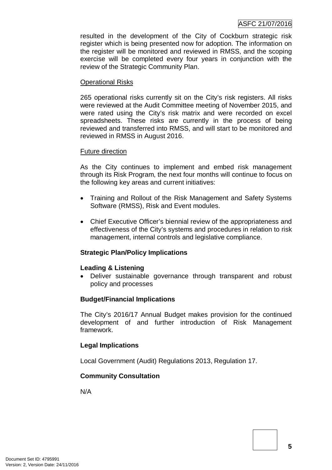#### **Report**

Risk Management Program:

#### The City's Risk Monitoring and Reporting System

The City acquired Risk Management and Safety System (RMSS) as its service provider for a Risk Management Software. The City purchased the package consisting of Risk, Event and Compliance Manager Modules, integrating all key areas of risk, compliance and event management across the organisation. The risk manager module efficiently identifies, assesses, controls, monitors and reviews risks and hazards using a unique patented workflow, allowing the City to use a variety of risk assessment methodologies, terminology and workflows.

The Event module is a web-based tool used to manage events as they happen. Following a unique workflow that allows even non-system users (such as contractors) to notify of potential events, the event manager module then follows the traditional process of recording, investigation, correction and review. Built-in flexibility allows events to be managed across a full range of workplace incidents and events e.g. complaints, injuries, enquiries etc.

The compliance manager allows the City to quantify compliance and performance using a flexible, web-based, real-time audit framework. The compliance manager module is used to manage both internal and external audits using any criteria, customisable scoring options and flexible scripting text, designed to meet the requirements of even the most complicated audit process. System configuration is now complete and staff training has commenced, with expected roll out in August 2016 of the Risk and Event modules followed by the Compliance module roll out towards the end of the year.

#### Strategic Risks

LGIS Risk Management facilitated the development of a City of Cockburn Strategic Risk Register. This process saw four workshops being conducted with the Executive during the month of February, feedback sought from the strategic business managers and an Elected Members briefing session. The workshops were focused on identifying high level key strategic risks associated with City of Cockburn's external environment, stakeholders, strategic direction and systemic organisational issues. A strategic risk is a risk that is likely to have a significant impact on the City's ability, as an organisation, to achieve its mission and objectives. A strategic risk may prevent the City from capitalising on its opportunities and strengths, expose its weaknesses, and/or represent a failure to address threats to the City. The methodology followed during the process consisted of introduction and defining of strategic risks, establishing the strategic risk assessment context, identification of City of Cockburn strategic risks, analysis of strategic risks, and documentation of risk treatment options. This

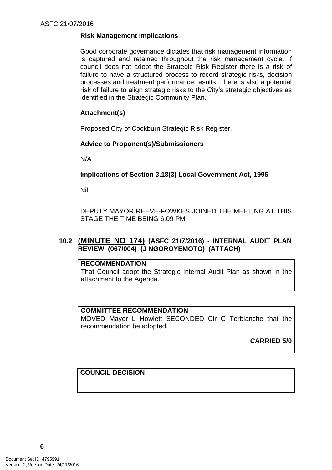resulted in the development of the City of Cockburn strategic risk register which is being presented now for adoption. The information on the register will be monitored and reviewed in RMSS, and the scoping exercise will be completed every four years in conjunction with the review of the Strategic Community Plan.

#### Operational Risks

265 operational risks currently sit on the City's risk registers. All risks were reviewed at the Audit Committee meeting of November 2015, and were rated using the City's risk matrix and were recorded on excel spreadsheets. These risks are currently in the process of being reviewed and transferred into RMSS, and will start to be monitored and reviewed in RMSS in August 2016.

#### Future direction

As the City continues to implement and embed risk management through its Risk Program, the next four months will continue to focus on the following key areas and current initiatives:

- Training and Rollout of the Risk Management and Safety Systems Software (RMSS), Risk and Event modules.
- Chief Executive Officer's biennial review of the appropriateness and effectiveness of the City's systems and procedures in relation to risk management, internal controls and legislative compliance.

## **Strategic Plan/Policy Implications**

#### **Leading & Listening**

• Deliver sustainable governance through transparent and robust policy and processes

#### **Budget/Financial Implications**

The City's 2016/17 Annual Budget makes provision for the continued development of and further introduction of Risk Management framework.

## **Legal Implications**

Local Government (Audit) Regulations 2013, Regulation 17.

## **Community Consultation**

N/A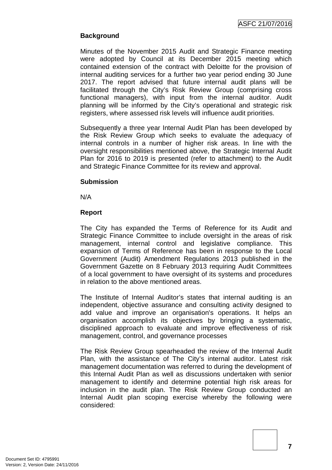## **Risk Management Implications**

Good corporate governance dictates that risk management information is captured and retained throughout the risk management cycle. If council does not adopt the Strategic Risk Register there is a risk of failure to have a structured process to record strategic risks, decision processes and treatment performance results. There is also a potential risk of failure to align strategic risks to the City's strategic objectives as identified in the Strategic Community Plan.

## **Attachment(s)**

Proposed City of Cockburn Strategic Risk Register.

## **Advice to Proponent(s)/Submissioners**

N/A

## **Implications of Section 3.18(3) Local Government Act, 1995**

Nil.

DEPUTY MAYOR REEVE-FOWKES JOINED THE MEETING AT THIS STAGE THE TIME BEING 6.09 PM.

## **10.2 (MINUTE NO 174) (ASFC 21/7/2016) - INTERNAL AUDIT PLAN REVIEW (067/004) (J NGOROYEMOTO) (ATTACH)**

## **RECOMMENDATION**

That Council adopt the Strategic Internal Audit Plan as shown in the attachment to the Agenda.

#### **COMMITTEE RECOMMENDATION**

MOVED Mayor L Howlett SECONDED Clr C Terblanche that the recommendation be adopted.

**CARRIED 5/0**

## **COUNCIL DECISION**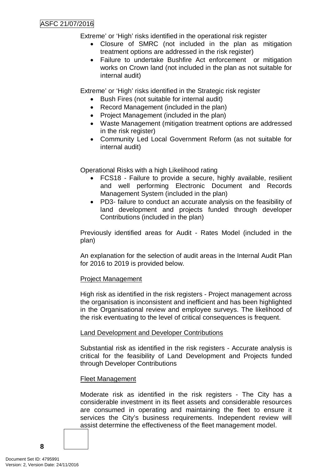## **Background**

Minutes of the November 2015 Audit and Strategic Finance meeting were adopted by Council at its December 2015 meeting which contained extension of the contract with Deloitte for the provision of internal auditing services for a further two year period ending 30 June 2017. The report advised that future internal audit plans will be facilitated through the City's Risk Review Group (comprising cross functional managers), with input from the internal auditor. Audit planning will be informed by the City's operational and strategic risk registers, where assessed risk levels will influence audit priorities.

Subsequently a three year Internal Audit Plan has been developed by the Risk Review Group which seeks to evaluate the adequacy of internal controls in a number of higher risk areas. In line with the oversight responsibilities mentioned above, the Strategic Internal Audit Plan for 2016 to 2019 is presented (refer to attachment) to the Audit and Strategic Finance Committee for its review and approval.

#### **Submission**

N/A

#### **Report**

The City has expanded the Terms of Reference for its Audit and Strategic Finance Committee to include oversight in the areas of risk management, internal control and legislative compliance. This expansion of Terms of Reference has been in response to the Local Government (Audit) Amendment Regulations 2013 published in the Government Gazette on 8 February 2013 requiring Audit Committees of a local government to have oversight of its systems and procedures in relation to the above mentioned areas.

The Institute of Internal Auditor's states that internal auditing is an independent, objective assurance and consulting activity designed to add value and improve an organisation's operations. It helps an organisation accomplish its objectives by bringing a systematic, disciplined approach to evaluate and improve effectiveness of risk management, control, and governance processes

The Risk Review Group spearheaded the review of the Internal Audit Plan, with the assistance of The City's internal auditor. Latest risk management documentation was referred to during the development of this Internal Audit Plan as well as discussions undertaken with senior management to identify and determine potential high risk areas for inclusion in the audit plan. The Risk Review Group conducted an Internal Audit plan scoping exercise whereby the following were considered: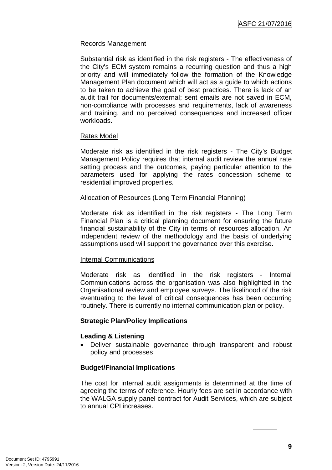## ASFC 21/07/2016

Extreme' or 'High' risks identified in the operational risk register

- Closure of SMRC (not included in the plan as mitigation treatment options are addressed in the risk register)
- Failure to undertake Bushfire Act enforcement or mitigation works on Crown land (not included in the plan as not suitable for internal audit)

Extreme' or 'High' risks identified in the Strategic risk register

- Bush Fires (not suitable for internal audit)
- Record Management (included in the plan)
- Project Management (included in the plan)
- Waste Management (mitigation treatment options are addressed in the risk register)
- Community Led Local Government Reform (as not suitable for internal audit)

Operational Risks with a high Likelihood rating

- FCS18 Failure to provide a secure, highly available, resilient and well performing Electronic Document and Records Management System (included in the plan)
- PD3- failure to conduct an accurate analysis on the feasibility of land development and projects funded through developer Contributions (included in the plan)

Previously identified areas for Audit - Rates Model (included in the plan)

An explanation for the selection of audit areas in the Internal Audit Plan for 2016 to 2019 is provided below.

## Project Management

High risk as identified in the risk registers - Project management across the organisation is inconsistent and inefficient and has been highlighted in the Organisational review and employee surveys. The likelihood of the risk eventuating to the level of critical consequences is frequent.

## Land Development and Developer Contributions

Substantial risk as identified in the risk registers - Accurate analysis is critical for the feasibility of Land Development and Projects funded through Developer Contributions

## Fleet Management

Moderate risk as identified in the risk registers - The City has a considerable investment in its fleet assets and considerable resources are consumed in operating and maintaining the fleet to ensure it services the City's business requirements. Independent review will assist determine the effectiveness of the fleet management model.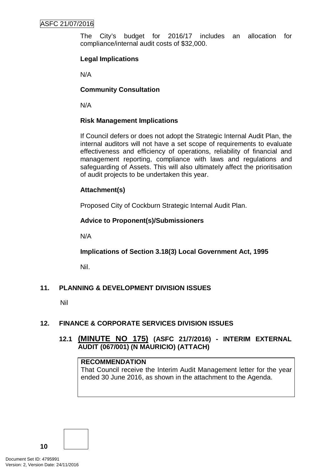#### Records Management

Substantial risk as identified in the risk registers - The effectiveness of the City's ECM system remains a recurring question and thus a high priority and will immediately follow the formation of the Knowledge Management Plan document which will act as a guide to which actions to be taken to achieve the goal of best practices. There is lack of an audit trail for documents/external; sent emails are not saved in ECM, non-compliance with processes and requirements, lack of awareness and training, and no perceived consequences and increased officer workloads.

#### Rates Model

Moderate risk as identified in the risk registers - The City's Budget Management Policy requires that internal audit review the annual rate setting process and the outcomes, paying particular attention to the parameters used for applying the rates concession scheme to residential improved properties.

#### Allocation of Resources (Long Term Financial Planning)

Moderate risk as identified in the risk registers - The Long Term Financial Plan is a critical planning document for ensuring the future financial sustainability of the City in terms of resources allocation. An independent review of the methodology and the basis of underlying assumptions used will support the governance over this exercise.

#### Internal Communications

Moderate risk as identified in the risk registers - Internal Communications across the organisation was also highlighted in the Organisational review and employee surveys. The likelihood of the risk eventuating to the level of critical consequences has been occurring routinely. There is currently no internal communication plan or policy.

#### **Strategic Plan/Policy Implications**

#### **Leading & Listening**

• Deliver sustainable governance through transparent and robust policy and processes

#### **Budget/Financial Implications**

The cost for internal audit assignments is determined at the time of agreeing the terms of reference. Hourly fees are set in accordance with the WALGA supply panel contract for Audit Services, which are subject to annual CPI increases.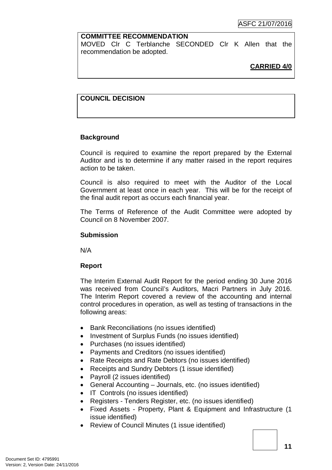The City's budget for 2016/17 includes an allocation for compliance/internal audit costs of \$32,000.

## **Legal Implications**

N/A

### **Community Consultation**

N/A

#### **Risk Management Implications**

If Council defers or does not adopt the Strategic Internal Audit Plan, the internal auditors will not have a set scope of requirements to evaluate effectiveness and efficiency of operations, reliability of financial and management reporting, compliance with laws and regulations and safeguarding of Assets. This will also ultimately affect the prioritisation of audit projects to be undertaken this year.

## **Attachment(s)**

Proposed City of Cockburn Strategic Internal Audit Plan.

## **Advice to Proponent(s)/Submissioners**

N/A

## **Implications of Section 3.18(3) Local Government Act, 1995**

Nil.

## **11. PLANNING & DEVELOPMENT DIVISION ISSUES**

Nil

## **12. FINANCE & CORPORATE SERVICES DIVISION ISSUES**

## **12.1 (MINUTE NO 175) (ASFC 21/7/2016) - INTERIM EXTERNAL AUDIT (067/001) (N MAURICIO) (ATTACH)**

#### **RECOMMENDATION**

That Council receive the Interim Audit Management letter for the year ended 30 June 2016, as shown in the attachment to the Agenda.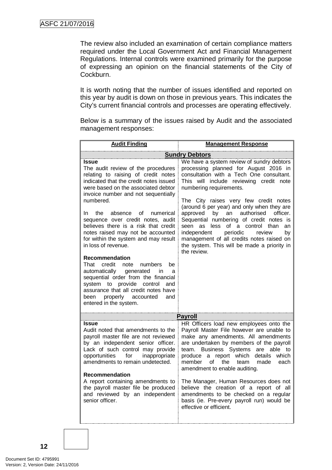#### **COMMITTEE RECOMMENDATION**

MOVED Clr C Terblanche SECONDED Clr K Allen that the recommendation be adopted.

## **CARRIED 4/0**

## **COUNCIL DECISION**

#### **Background**

Council is required to examine the report prepared by the External Auditor and is to determine if any matter raised in the report requires action to be taken.

Council is also required to meet with the Auditor of the Local Government at least once in each year. This will be for the receipt of the final audit report as occurs each financial year.

The Terms of Reference of the Audit Committee were adopted by Council on 8 November 2007.

#### **Submission**

N/A

#### **Report**

The Interim External Audit Report for the period ending 30 June 2016 was received from Council's Auditors, Macri Partners in July 2016. The Interim Report covered a review of the accounting and internal control procedures in operation, as well as testing of transactions in the following areas:

- Bank Reconciliations (no issues identified)
- Investment of Surplus Funds (no issues identified)
- Purchases (no issues identified)
- Payments and Creditors (no issues identified)
- Rate Receipts and Rate Debtors (no issues identified)
- Receipts and Sundry Debtors (1 issue identified)
- Payroll (2 issues identified)
- General Accounting Journals, etc. (no issues identified)
- IT Controls (no issues identified)
- Registers Tenders Register, etc. (no issues identified)
- Fixed Assets Property, Plant & Equipment and Infrastructure (1 issue identified)
- Review of Council Minutes (1 issue identified)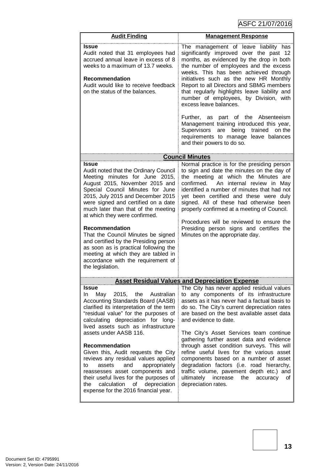The review also included an examination of certain compliance matters required under the Local Government Act and Financial Management Regulations. Internal controls were examined primarily for the purpose of expressing an opinion on the financial statements of the City of Cockburn.

It is worth noting that the number of issues identified and reported on this year by audit is down on those in previous years. This indicates the City's current financial controls and processes are operating effectively.

Below is a summary of the issues raised by Audit and the associated management responses:

| <b>Audit Finding</b>                                                                                                                                                                                                                                                                                                                                                                                                                                                                                                                                                                                                                                                                                                                                   | <b>Management Response</b>                                                                                                                                                                                                                                                                                                                                                                                                                                                                                                                                                          |  |  |
|--------------------------------------------------------------------------------------------------------------------------------------------------------------------------------------------------------------------------------------------------------------------------------------------------------------------------------------------------------------------------------------------------------------------------------------------------------------------------------------------------------------------------------------------------------------------------------------------------------------------------------------------------------------------------------------------------------------------------------------------------------|-------------------------------------------------------------------------------------------------------------------------------------------------------------------------------------------------------------------------------------------------------------------------------------------------------------------------------------------------------------------------------------------------------------------------------------------------------------------------------------------------------------------------------------------------------------------------------------|--|--|
| <b>Sundry Debtors</b>                                                                                                                                                                                                                                                                                                                                                                                                                                                                                                                                                                                                                                                                                                                                  |                                                                                                                                                                                                                                                                                                                                                                                                                                                                                                                                                                                     |  |  |
| Issue<br>The audit review of the procedures<br>relating to raising of credit notes<br>indicated that the credit notes issued<br>were based on the associated debtor<br>invoice number and not sequentially<br>numbered.<br>the<br>absence<br>In.<br>of<br>numerical<br>sequence over credit notes, audit<br>believes there is a risk that credit<br>notes raised may not be accounted<br>for within the system and may result<br>in loss of revenue.<br><b>Recommendation</b><br>That credit<br>note<br>numbers<br>be<br>automatically<br>generated<br>in in<br>a<br>sequential order from the financial<br>system to provide<br>control<br>and<br>assurance that all credit notes have<br>properly accounted<br>and<br>been<br>entered in the system. | We have a system review of sundry debtors<br>processing planned for August 2016 in<br>consultation with a Tech One consultant.<br>This will include reviewing credit note<br>numbering requirements.<br>The City raises very few credit notes<br>(around 6 per year) and only when they are<br>authorised<br>approved<br>by an<br>officer.<br>Sequential numbering of credit notes is<br>seen as less of a control than<br>an<br>independent<br>periodic<br>review<br>by<br>management of all credits notes raised on<br>the system. This will be made a priority in<br>the review. |  |  |
|                                                                                                                                                                                                                                                                                                                                                                                                                                                                                                                                                                                                                                                                                                                                                        | <b>Payroll</b>                                                                                                                                                                                                                                                                                                                                                                                                                                                                                                                                                                      |  |  |
| Issue<br>Audit noted that amendments to the<br>payroll master file are not reviewed<br>by an independent senior officer.<br>Lack of such control may provide<br>opportunities<br>for<br>inappropriate<br>amendments to remain undetected.                                                                                                                                                                                                                                                                                                                                                                                                                                                                                                              | HR Officers load new employees onto the<br>Payroll Master File however are unable to<br>make any amendments. All amendments<br>are undertaken by members of the payroll<br>team. Business Systems<br>are able to<br>a report which<br>details<br>which<br>produce<br>the<br>member<br>οf<br>team<br>made<br>each<br>amendment to enable auditing.                                                                                                                                                                                                                                   |  |  |
| <b>Recommendation</b><br>A report containing amendments to<br>the payroll master file be produced<br>and reviewed by an independent<br>senior officer.                                                                                                                                                                                                                                                                                                                                                                                                                                                                                                                                                                                                 | The Manager, Human Resources does not<br>believe the creation of a report of all<br>amendments to be checked on a regular<br>basis (ie. Pre-every payroll run) would be<br>effective or efficient.                                                                                                                                                                                                                                                                                                                                                                                  |  |  |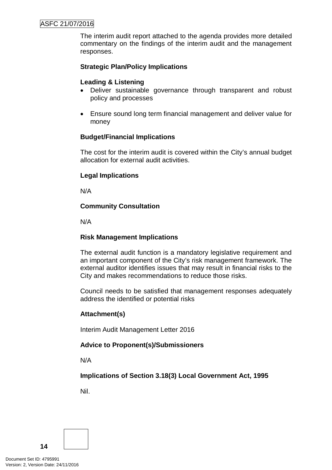ASFC 21/07/2016

| <b>Audit Finding</b>                                                                                                                                                                                                                                                                                                                                                                                                                                                                                                                                                | <b>Management Response</b>                                                                                                                                                                                                                                                                                                                                                                                                                                                                                                                                                                                                                   |  |  |
|---------------------------------------------------------------------------------------------------------------------------------------------------------------------------------------------------------------------------------------------------------------------------------------------------------------------------------------------------------------------------------------------------------------------------------------------------------------------------------------------------------------------------------------------------------------------|----------------------------------------------------------------------------------------------------------------------------------------------------------------------------------------------------------------------------------------------------------------------------------------------------------------------------------------------------------------------------------------------------------------------------------------------------------------------------------------------------------------------------------------------------------------------------------------------------------------------------------------------|--|--|
| <b>Issue</b><br>Audit noted that 31 employees had<br>accrued annual leave in excess of 8<br>weeks to a maximum of 13.7 weeks.<br>Recommendation<br>Audit would like to receive feedback<br>on the status of the balances.                                                                                                                                                                                                                                                                                                                                           | The management of leave liability has<br>significantly improved over the past 12<br>months, as evidenced by the drop in both<br>the number of employees and the excess<br>weeks. This has been achieved through<br>initiatives such as the new HR Monthly<br>Report to all Directors and SBMG members<br>that regularly highlights leave liability and<br>number of employees, by Division, with<br>excess leave balances.<br>Further,<br>as part of the Absenteeism<br>Management training introduced this year,<br>being<br>trained<br>on the<br>Supervisors<br>are<br>requirements to manage leave balances<br>and their powers to do so. |  |  |
|                                                                                                                                                                                                                                                                                                                                                                                                                                                                                                                                                                     |                                                                                                                                                                                                                                                                                                                                                                                                                                                                                                                                                                                                                                              |  |  |
|                                                                                                                                                                                                                                                                                                                                                                                                                                                                                                                                                                     | <b>Council Minutes</b>                                                                                                                                                                                                                                                                                                                                                                                                                                                                                                                                                                                                                       |  |  |
| <b>Issue</b><br>Audit noted that the Ordinary Council<br>Meeting minutes for June 2015,<br>August 2015, November 2015 and<br>Special Council Minutes for June<br>2015, July 2015 and December 2015<br>were signed and certified on a date<br>much later than that of the meeting<br>at which they were confirmed.<br><b>Recommendation</b><br>That the Council Minutes be signed<br>and certified by the Presiding person<br>as soon as is practical following the<br>meeting at which they are tabled in<br>accordance with the requirement of<br>the legislation. | Normal practice is for the presiding person<br>to sign and date the minutes on the day of<br>the meeting at which the Minutes are<br>confirmed.<br>An internal review in May<br>identified a number of minutes that had not<br>yet been certified and these were duly<br>signed. All of these had otherwise been<br>properly confirmed at a meeting of Council.<br>Procedures will be reviewed to ensure the<br>Presiding person signs and certifies the<br>Minutes on the appropriate day.                                                                                                                                                  |  |  |
|                                                                                                                                                                                                                                                                                                                                                                                                                                                                                                                                                                     |                                                                                                                                                                                                                                                                                                                                                                                                                                                                                                                                                                                                                                              |  |  |
| <b>Issue</b>                                                                                                                                                                                                                                                                                                                                                                                                                                                                                                                                                        | <u>Asset Residual Values and Depreciation Expense</u><br>The City has never applied residual values                                                                                                                                                                                                                                                                                                                                                                                                                                                                                                                                          |  |  |
| the<br>May<br>2015,<br>Australian<br>In<br><b>Accounting Standards Board (AASB)</b><br>clarified its interpretation of the term<br>"residual value" for the purposes of<br>calculating depreciation for long-<br>lived assets such as infrastructure<br>assets under AASB 116.                                                                                                                                                                                                                                                                                      | to any components of its infrastructure<br>assets as it has never had a factual basis to<br>do so. The City's current depreciation rates<br>are based on the best available asset data<br>and evidence to date.<br>The City's Asset Services team continue<br>gathering further asset data and evidence                                                                                                                                                                                                                                                                                                                                      |  |  |
| Recommendation<br>Given this, Audit requests the City<br>reviews any residual values applied<br>assets<br>and<br>appropriately<br>to<br>reassesses asset components and<br>their useful lives for the purposes of<br>the<br>calculation<br>depreciation<br>of<br>expense for the 2016 financial year.                                                                                                                                                                                                                                                               | through asset condition surveys. This will<br>refine useful lives for the various asset<br>components based on a number of asset<br>degradation factors (i.e. road hierarchy,<br>traffic volume, pavement depth etc.) and<br>ultimately<br>increase<br>of<br>the<br>accuracy<br>depreciation rates.                                                                                                                                                                                                                                                                                                                                          |  |  |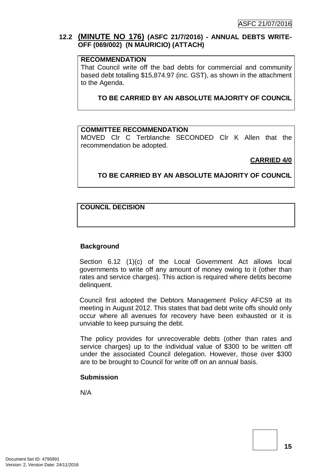The interim audit report attached to the agenda provides more detailed commentary on the findings of the interim audit and the management responses.

## **Strategic Plan/Policy Implications**

## **Leading & Listening**

- Deliver sustainable governance through transparent and robust policy and processes
- Ensure sound long term financial management and deliver value for money

## **Budget/Financial Implications**

The cost for the interim audit is covered within the City's annual budget allocation for external audit activities.

## **Legal Implications**

N/A

## **Community Consultation**

N/A

## **Risk Management Implications**

The external audit function is a mandatory legislative requirement and an important component of the City's risk management framework. The external auditor identifies issues that may result in financial risks to the City and makes recommendations to reduce those risks.

Council needs to be satisfied that management responses adequately address the identified or potential risks

## **Attachment(s)**

Interim Audit Management Letter 2016

## **Advice to Proponent(s)/Submissioners**

N/A

**Implications of Section 3.18(3) Local Government Act, 1995**

Nil.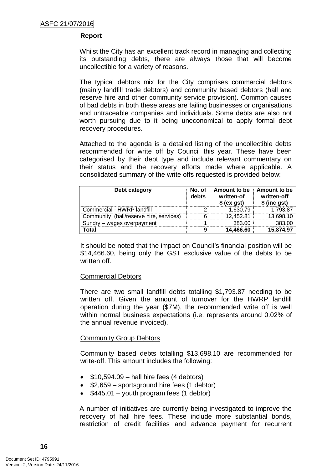## **12.2 (MINUTE NO 176) (ASFC 21/7/2016) - ANNUAL DEBTS WRITE-OFF (069/002) (N MAURICIO) (ATTACH)**

#### **RECOMMENDATION**

That Council write off the bad debts for commercial and community based debt totalling \$15,874.97 (inc. GST), as shown in the attachment to the Agenda.

**TO BE CARRIED BY AN ABSOLUTE MAJORITY OF COUNCIL**

#### **COMMITTEE RECOMMENDATION**

MOVED Clr C Terblanche SECONDED Clr K Allen that the recommendation be adopted.

**CARRIED 4/0**

#### **TO BE CARRIED BY AN ABSOLUTE MAJORITY OF COUNCIL**

#### **COUNCIL DECISION**

#### **Background**

Section 6.12 (1)(c) of the Local Government Act allows local governments to write off any amount of money owing to it (other than rates and service charges). This action is required where debts become delinquent.

Council first adopted the Debtors Management Policy AFCS9 at its meeting in August 2012. This states that bad debt write offs should only occur where all avenues for recovery have been exhausted or it is unviable to keep pursuing the debt.

The policy provides for unrecoverable debts (other than rates and service charges) up to the individual value of \$300 to be written off under the associated Council delegation. However, those over \$300 are to be brought to Council for write off on an annual basis.

#### **Submission**

N/A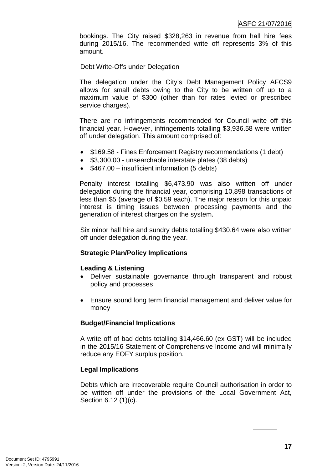#### **Report**

Whilst the City has an excellent track record in managing and collecting its outstanding debts, there are always those that will become uncollectible for a variety of reasons.

The typical debtors mix for the City comprises commercial debtors (mainly landfill trade debtors) and community based debtors (hall and reserve hire and other community service provision). Common causes of bad debts in both these areas are failing businesses or organisations and untraceable companies and individuals. Some debts are also not worth pursuing due to it being uneconomical to apply formal debt recovery procedures.

Attached to the agenda is a detailed listing of the uncollectible debts recommended for write off by Council this year. These have been categorised by their debt type and include relevant commentary on their status and the recovery efforts made where applicable. A consolidated summary of the write offs requested is provided below:

| Debt category                              | No. of<br>debts | Amount to be<br>written-of<br>\$(ex gst) | Amount to be<br>written-off<br>\$ (inc gst) |
|--------------------------------------------|-----------------|------------------------------------------|---------------------------------------------|
| Commercial - HWRP landfill                 |                 | 1.630.79                                 | .793.87                                     |
| (hall/reserve hire, services)<br>Community |                 | 12.452.81                                | 13.698.10                                   |
| wages overpayment                          |                 | 383.00                                   |                                             |
| otal`                                      |                 | 14.466.60                                | 15.874.97                                   |

It should be noted that the impact on Council's financial position will be \$14,466.60, being only the GST exclusive value of the debts to be written off.

#### Commercial Debtors

There are two small landfill debts totalling \$1,793.87 needing to be written off. Given the amount of turnover for the HWRP landfill operation during the year (\$7M), the recommended write off is well within normal business expectations (i.e. represents around 0.02% of the annual revenue invoiced).

#### Community Group Debtors

Community based debts totalling \$13,698.10 are recommended for write-off. This amount includes the following:

- $\bullet$  \$10,594.09 hall hire fees (4 debtors)
- \$2,659 sportsground hire fees (1 debtor)
- $$445.01 -$  youth program fees (1 debtor)

A number of initiatives are currently being investigated to improve the recovery of hall hire fees. These include more substantial bonds, restriction of credit facilities and advance payment for recurrent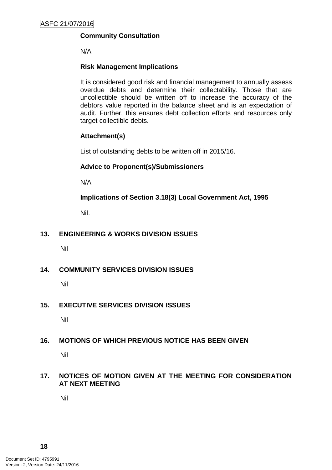bookings. The City raised \$328,263 in revenue from hall hire fees during 2015/16. The recommended write off represents 3% of this amount.

#### Debt Write-Offs under Delegation

The delegation under the City's Debt Management Policy AFCS9 allows for small debts owing to the City to be written off up to a maximum value of \$300 (other than for rates levied or prescribed service charges).

There are no infringements recommended for Council write off this financial year. However, infringements totalling \$3,936.58 were written off under delegation. This amount comprised of:

- \$169.58 Fines Enforcement Registry recommendations (1 debt)
- \$3,300.00 unsearchable interstate plates (38 debts)
- \$467.00 insufficient information (5 debts)

Penalty interest totalling \$6,473.90 was also written off under delegation during the financial year, comprising 10,898 transactions of less than \$5 (average of \$0.59 each). The major reason for this unpaid interest is timing issues between processing payments and the generation of interest charges on the system.

Six minor hall hire and sundry debts totalling \$430.64 were also written off under delegation during the year.

#### **Strategic Plan/Policy Implications**

#### **Leading & Listening**

- Deliver sustainable governance through transparent and robust policy and processes
- Ensure sound long term financial management and deliver value for money

#### **Budget/Financial Implications**

A write off of bad debts totalling \$14,466.60 (ex GST) will be included in the 2015/16 Statement of Comprehensive Income and will minimally reduce any EOFY surplus position.

#### **Legal Implications**

Debts which are irrecoverable require Council authorisation in order to be written off under the provisions of the Local Government Act, Section 6.12 (1)(c).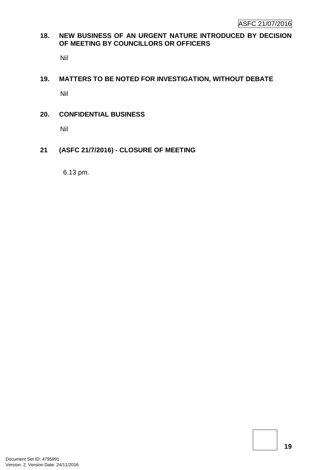## **Community Consultation**

N/A

## **Risk Management Implications**

It is considered good risk and financial management to annually assess overdue debts and determine their collectability. Those that are uncollectible should be written off to increase the accuracy of the debtors value reported in the balance sheet and is an expectation of audit. Further, this ensures debt collection efforts and resources only target collectible debts.

## **Attachment(s)**

List of outstanding debts to be written off in 2015/16.

#### **Advice to Proponent(s)/Submissioners**

N/A

**Implications of Section 3.18(3) Local Government Act, 1995**

Nil.

## **13. ENGINEERING & WORKS DIVISION ISSUES**

Nil

**14. COMMUNITY SERVICES DIVISION ISSUES**

Nil

## **15. EXECUTIVE SERVICES DIVISION ISSUES**

Nil

## **16. MOTIONS OF WHICH PREVIOUS NOTICE HAS BEEN GIVEN**

Nil

## **17. NOTICES OF MOTION GIVEN AT THE MEETING FOR CONSIDERATION AT NEXT MEETING**

Nil